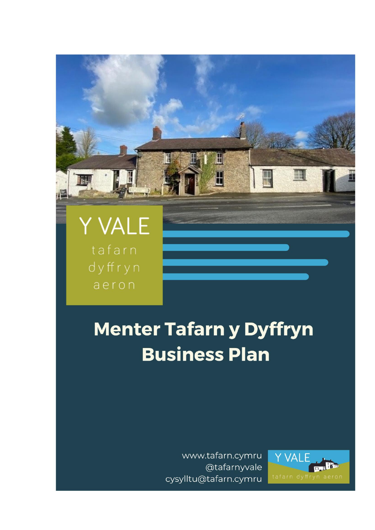## Y VALE tafarn dyffryn aeron

# **Menter Tafarn y Dyffryn Business Plan**

Ш

 $\mathbb {H}$ 

www.tafarn.cymru @tafarnyvale cysylltu@tafarn.cymru

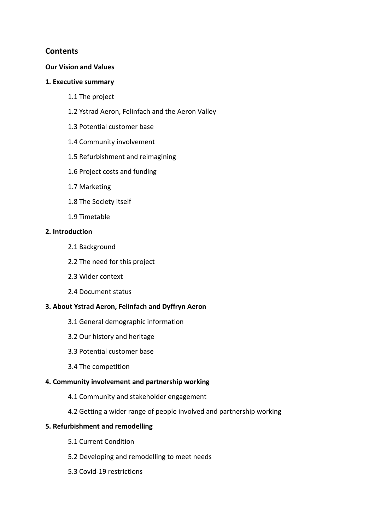## **Contents**

#### **Our Vision and Values**

#### **1. Executive summary**

- 1.1 The project
- 1.2 Ystrad Aeron, Felinfach and the Aeron Valley
- 1.3 Potential customer base
- 1.4 Community involvement
- 1.5 Refurbishment and reimagining
- 1.6 Project costs and funding
- 1.7 Marketing
- 1.8 The Society itself
- 1.9 Timetable

#### **2. Introduction**

- 2.1 Background
- 2.2 The need for this project
- 2.3 Wider context
- 2.4 Document status

## **3. About Ystrad Aeron, Felinfach and Dyffryn Aeron**

- 3.1 General demographic information
- 3.2 Our history and heritage
- 3.3 Potential customer base
- 3.4 The competition

## **4. Community involvement and partnership working**

- 4.1 Community and stakeholder engagement
- 4.2 Getting a wider range of people involved and partnership working

## **5. Refurbishment and remodelling**

- 5.1 Current Condition
- 5.2 Developing and remodelling to meet needs
- 5.3 Covid-19 restrictions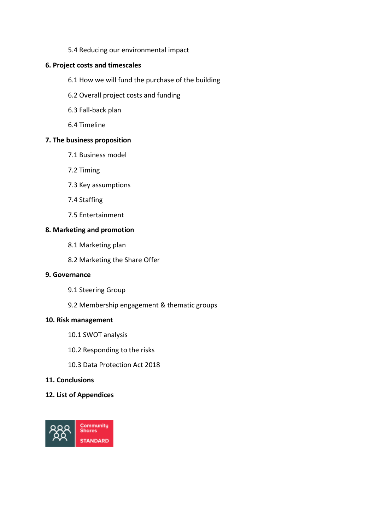5.4 Reducing our environmental impact

## **6. Project costs and timescales**

- 6.1 How we will fund the purchase of the building
- 6.2 Overall project costs and funding
- 6.3 Fall-back plan
- 6.4 Timeline

#### **7. The business proposition**

- 7.1 Business model
- 7.2 Timing
- 7.3 Key assumptions
- 7.4 Staffing
- 7.5 Entertainment

#### **8. Marketing and promotion**

- 8.1 Marketing plan
- 8.2 Marketing the Share Offer

#### **9. Governance**

- 9.1 Steering Group
- 9.2 Membership engagement & thematic groups

#### **10. Risk management**

- 10.1 SWOT analysis
- 10.2 Responding to the risks
- 10.3 Data Protection Act 2018
- **11. Conclusions**

#### **12. List of Appendices**

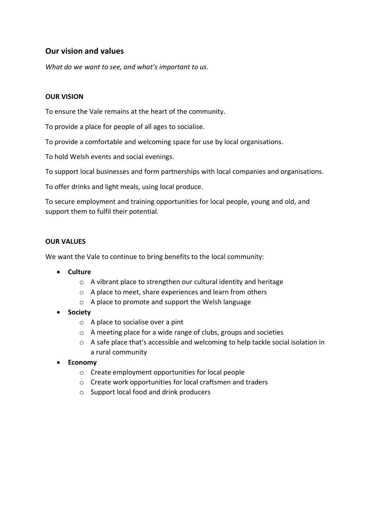## **Our vision and values**

*What do we want to see, and what's important to us.*

#### **OUR VISION**

To ensure the Vale remains at the heart of the community.

To provide a place for people of all ages to socialise.

To provide a comfortable and welcoming space for use by local organisations.

To hold Welsh events and social evenings.

To support local businesses and form partnerships with local companies and organisations.

To offer drinks and light meals, using local produce.

To secure employment and training opportunities for local people, young and old, and support them to fulfil their potential.

#### **OUR VALUES**

We want the Vale to continue to bring benefits to the local community:

- **Culture**
	- o A vibrant place to strengthen our cultural identity and heritage
	- o A place to meet, share experiences and learn from others
	- o A place to promote and support the Welsh language
- **Society**
	- o A place to socialise over a pint
	- o A meeting place for a wide range of clubs, groups and societies
	- $\circ$  A safe place that's accessible and welcoming to help tackle social isolation in a rural community
- **Economy**
	- o Create employment opportunities for local people
	- o Create work opportunities for local craftsmen and traders
	- o Support local food and drink producers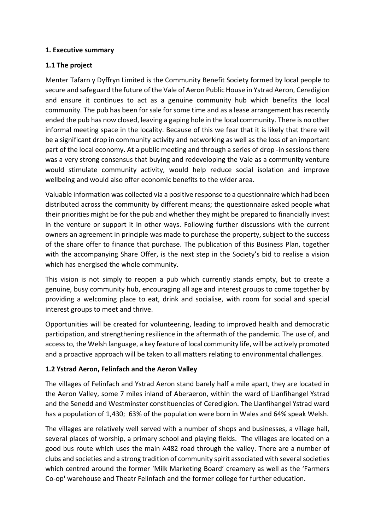## **1. Executive summary**

## **1.1 The project**

Menter Tafarn y Dyffryn Limited is the Community Benefit Society formed by local people to secure and safeguard the future of the Vale of Aeron Public House in Ystrad Aeron, Ceredigion and ensure it continues to act as a genuine community hub which benefits the local community. The pub has been for sale for some time and as a lease arrangement has recently ended the pub has now closed, leaving a gaping hole in the local community. There is no other informal meeting space in the locality. Because of this we fear that it is likely that there will be a significant drop in community activity and networking as well as the loss of an important part of the local economy. At a public meeting and through a series of drop -in sessions there was a very strong consensus that buying and redeveloping the Vale as a community venture would stimulate community activity, would help reduce social isolation and improve wellbeing and would also offer economic benefits to the wider area.

Valuable information was collected via a positive response to a questionnaire which had been distributed across the community by different means; the questionnaire asked people what their priorities might be for the pub and whether they might be prepared to financially invest in the venture or support it in other ways. Following further discussions with the current owners an agreement in principle was made to purchase the property, subject to the success of the share offer to finance that purchase. The publication of this Business Plan, together with the accompanying Share Offer, is the next step in the Society's bid to realise a vision which has energised the whole community.

This vision is not simply to reopen a pub which currently stands empty, but to create a genuine, busy community hub, encouraging all age and interest groups to come together by providing a welcoming place to eat, drink and socialise, with room for social and special interest groups to meet and thrive.

Opportunities will be created for volunteering, leading to improved health and democratic participation, and strengthening resilience in the aftermath of the pandemic. The use of, and access to, the Welsh language, a key feature of local community life, will be actively promoted and a proactive approach will be taken to all matters relating to environmental challenges.

## **1.2 Ystrad Aeron, Felinfach and the Aeron Valley**

The villages of Felinfach and Ystrad Aeron stand barely half a mile apart, they are located in the Aeron Valley, some 7 miles inland of Aberaeron, within the ward of Llanfihangel Ystrad and the Senedd and Westminster constituencies of Ceredigion. The Llanfihangel Ystrad ward has a population of 1,430; 63% of the population were born in Wales and 64% speak Welsh.

The villages are relatively well served with a number of shops and businesses, a village hall, several places of worship, a primary school and playing fields. The villages are located on a good bus route which uses the main A482 road through the valley. There are a number of clubs and societies and a strong tradition of community spirit associated with several societies which centred around the former 'Milk Marketing Board' creamery as well as the 'Farmers Co-op' warehouse and Theatr Felinfach and the former college for further education.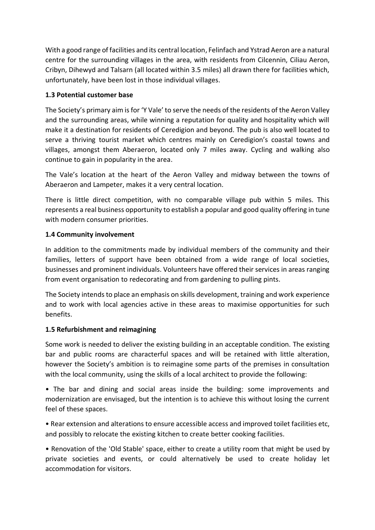With a good range of facilities and its central location, Felinfach and Ystrad Aeron are a natural centre for the surrounding villages in the area, with residents from Cilcennin, Ciliau Aeron, Cribyn, Dihewyd and Talsarn (all located within 3.5 miles) all drawn there for facilities which, unfortunately, have been lost in those individual villages.

## **1.3 Potential customer base**

The Society's primary aim is for 'Y Vale' to serve the needs of the residents of the Aeron Valley and the surrounding areas, while winning a reputation for quality and hospitality which will make it a destination for residents of Ceredigion and beyond. The pub is also well located to serve a thriving tourist market which centres mainly on Ceredigion's coastal towns and villages, amongst them Aberaeron, located only 7 miles away. Cycling and walking also continue to gain in popularity in the area.

The Vale's location at the heart of the Aeron Valley and midway between the towns of Aberaeron and Lampeter, makes it a very central location.

There is little direct competition, with no comparable village pub within 5 miles. This represents a real business opportunity to establish a popular and good quality offering in tune with modern consumer priorities.

#### **1.4 Community involvement**

In addition to the commitments made by individual members of the community and their families, letters of support have been obtained from a wide range of local societies, businesses and prominent individuals. Volunteers have offered their services in areas ranging from event organisation to redecorating and from gardening to pulling pints.

The Society intends to place an emphasis on skills development, training and work experience and to work with local agencies active in these areas to maximise opportunities for such benefits.

## **1.5 Refurbishment and reimagining**

Some work is needed to deliver the existing building in an acceptable condition. The existing bar and public rooms are characterful spaces and will be retained with little alteration, however the Society's ambition is to reimagine some parts of the premises in consultation with the local community, using the skills of a local architect to provide the following:

• The bar and dining and social areas inside the building: some improvements and modernization are envisaged, but the intention is to achieve this without losing the current feel of these spaces.

• Rear extension and alterations to ensure accessible access and improved toilet facilities etc, and possibly to relocate the existing kitchen to create better cooking facilities.

• Renovation of the 'Old Stable' space, either to create a utility room that might be used by private societies and events, or could alternatively be used to create holiday let accommodation for visitors.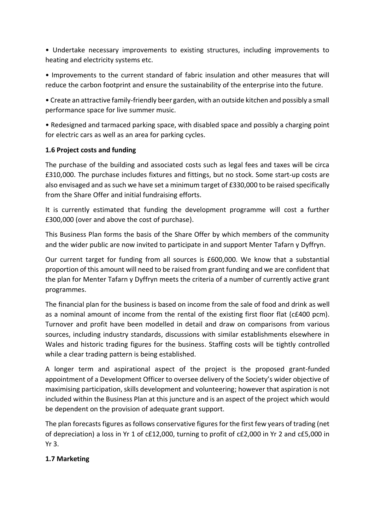• Undertake necessary improvements to existing structures, including improvements to heating and electricity systems etc.

• Improvements to the current standard of fabric insulation and other measures that will reduce the carbon footprint and ensure the sustainability of the enterprise into the future.

• Create an attractive family-friendly beer garden, with an outside kitchen and possibly a small performance space for live summer music.

• Redesigned and tarmaced parking space, with disabled space and possibly a charging point for electric cars as well as an area for parking cycles.

## **1.6 Project costs and funding**

The purchase of the building and associated costs such as legal fees and taxes will be circa £310,000. The purchase includes fixtures and fittings, but no stock. Some start-up costs are also envisaged and as such we have set a minimum target of £330,000 to be raised specifically from the Share Offer and initial fundraising efforts.

It is currently estimated that funding the development programme will cost a further £300,000 (over and above the cost of purchase).

This Business Plan forms the basis of the Share Offer by which members of the community and the wider public are now invited to participate in and support Menter Tafarn y Dyffryn.

Our current target for funding from all sources is £600,000. We know that a substantial proportion of this amount will need to be raised from grant funding and we are confident that the plan for Menter Tafarn y Dyffryn meets the criteria of a number of currently active grant programmes.

The financial plan for the business is based on income from the sale of food and drink as well as a nominal amount of income from the rental of the existing first floor flat (c£400 pcm). Turnover and profit have been modelled in detail and draw on comparisons from various sources, including industry standards, discussions with similar establishments elsewhere in Wales and historic trading figures for the business. Staffing costs will be tightly controlled while a clear trading pattern is being established.

A longer term and aspirational aspect of the project is the proposed grant-funded appointment of a Development Officer to oversee delivery of the Society's wider objective of maximising participation, skills development and volunteering; however that aspiration is not included within the Business Plan at this juncture and is an aspect of the project which would be dependent on the provision of adequate grant support.

The plan forecasts figures as follows conservative figures for the first few years of trading (net of depreciation) a loss in Yr 1 of c£12,000, turning to profit of c£2,000 in Yr 2 and c£5,000 in Yr 3.

## **1.7 Marketing**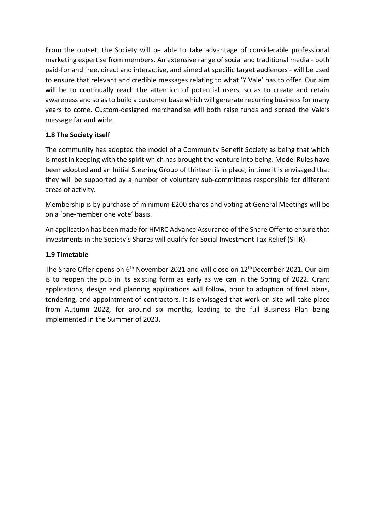From the outset, the Society will be able to take advantage of considerable professional marketing expertise from members. An extensive range of social and traditional media - both paid-for and free, direct and interactive, and aimed at specific target audiences - will be used to ensure that relevant and credible messages relating to what 'Y Vale' has to offer. Our aim will be to continually reach the attention of potential users, so as to create and retain awareness and so as to build a customer base which will generate recurring business for many years to come. Custom-designed merchandise will both raise funds and spread the Vale's message far and wide.

## **1.8 The Society itself**

The community has adopted the model of a Community Benefit Society as being that which is most in keeping with the spirit which has brought the venture into being. Model Rules have been adopted and an Initial Steering Group of thirteen is in place; in time it is envisaged that they will be supported by a number of voluntary sub-committees responsible for different areas of activity.

Membership is by purchase of minimum £200 shares and voting at General Meetings will be on a 'one-member one vote' basis.

An application has been made for HMRC Advance Assurance of the Share Offer to ensure that investments in the Society's Shares will qualify for Social Investment Tax Relief (SITR).

## **1.9 Timetable**

The Share Offer opens on 6<sup>th</sup> November 2021 and will close on 12<sup>th</sup>December 2021. Our aim is to reopen the pub in its existing form as early as we can in the Spring of 2022. Grant applications, design and planning applications will follow, prior to adoption of final plans, tendering, and appointment of contractors. It is envisaged that work on site will take place from Autumn 2022, for around six months, leading to the full Business Plan being implemented in the Summer of 2023.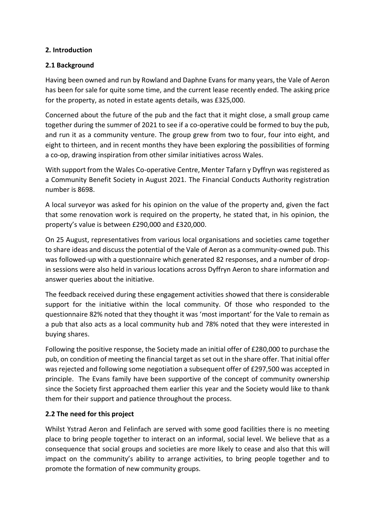## **2. Introduction**

## **2.1 Background**

Having been owned and run by Rowland and Daphne Evans for many years, the Vale of Aeron has been for sale for quite some time, and the current lease recently ended. The asking price for the property, as noted in estate agents details, was £325,000.

Concerned about the future of the pub and the fact that it might close, a small group came together during the summer of 2021 to see if a co-operative could be formed to buy the pub, and run it as a community venture. The group grew from two to four, four into eight, and eight to thirteen, and in recent months they have been exploring the possibilities of forming a co-op, drawing inspiration from other similar initiatives across Wales.

With support from the Wales Co-operative Centre, Menter Tafarn y Dyffryn was registered as a Community Benefit Society in August 2021. The Financial Conducts Authority registration number is 8698.

A local surveyor was asked for his opinion on the value of the property and, given the fact that some renovation work is required on the property, he stated that, in his opinion, the property's value is between £290,000 and £320,000.

On 25 August, representatives from various local organisations and societies came together to share ideas and discuss the potential of the Vale of Aeron as a community-owned pub. This was followed-up with a questionnaire which generated 82 responses, and a number of dropin sessions were also held in various locations across Dyffryn Aeron to share information and answer queries about the initiative.

The feedback received during these engagement activities showed that there is considerable support for the initiative within the local community. Of those who responded to the questionnaire 82% noted that they thought it was 'most important' for the Vale to remain as a pub that also acts as a local community hub and 78% noted that they were interested in buying shares.

Following the positive response, the Society made an initial offer of £280,000 to purchase the pub, on condition of meeting the financial target as set out in the share offer. That initial offer was rejected and following some negotiation a subsequent offer of £297,500 was accepted in principle. The Evans family have been supportive of the concept of community ownership since the Society first approached them earlier this year and the Society would like to thank them for their support and patience throughout the process.

## **2.2 The need for this project**

Whilst Ystrad Aeron and Felinfach are served with some good facilities there is no meeting place to bring people together to interact on an informal, social level. We believe that as a consequence that social groups and societies are more likely to cease and also that this will impact on the community's ability to arrange activities, to bring people together and to promote the formation of new community groups.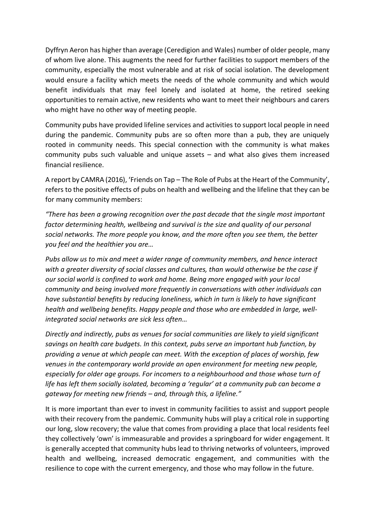Dyffryn Aeron has higher than average (Ceredigion and Wales) number of older people, many of whom live alone. This augments the need for further facilities to support members of the community, especially the most vulnerable and at risk of social isolation. The development would ensure a facility which meets the needs of the whole community and which would benefit individuals that may feel lonely and isolated at home, the retired seeking opportunities to remain active, new residents who want to meet their neighbours and carers who might have no other way of meeting people.

Community pubs have provided lifeline services and activities to support local people in need during the pandemic. Community pubs are so often more than a pub, they are uniquely rooted in community needs. This special connection with the community is what makes community pubs such valuable and unique assets – and what also gives them increased financial resilience.

A report by CAMRA (2016), 'Friends on Tap – The Role of Pubs at the Heart of the Community', refers to the positive effects of pubs on health and wellbeing and the lifeline that they can be for many community members:

*"There has been a growing recognition over the past decade that the single most important factor determining health, wellbeing and survival is the size and quality of our personal social networks. The more people you know, and the more often you see them, the better you feel and the healthier you are…* 

*Pubs allow us to mix and meet a wider range of community members, and hence interact with a greater diversity of social classes and cultures, than would otherwise be the case if our social world is confined to work and home. Being more engaged with your local community and being involved more frequently in conversations with other individuals can have substantial benefits by reducing loneliness, which in turn is likely to have significant health and wellbeing benefits. Happy people and those who are embedded in large, wellintegrated social networks are sick less often…* 

*Directly and indirectly, pubs as venues for social communities are likely to yield significant savings on health care budgets. In this context, pubs serve an important hub function, by providing a venue at which people can meet. With the exception of places of worship, few venues in the contemporary world provide an open environment for meeting new people, especially for older age groups. For incomers to a neighbourhood and those whose turn of life has left them socially isolated, becoming a 'regular' at a community pub can become a gateway for meeting new friends – and, through this, a lifeline."* 

It is more important than ever to invest in community facilities to assist and support people with their recovery from the pandemic. Community hubs will play a critical role in supporting our long, slow recovery; the value that comes from providing a place that local residents feel they collectively 'own' is immeasurable and provides a springboard for wider engagement. It is generally accepted that community hubs lead to thriving networks of volunteers, improved health and wellbeing, increased democratic engagement, and communities with the resilience to cope with the current emergency, and those who may follow in the future.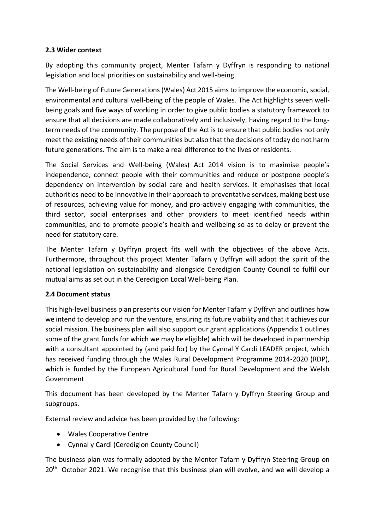## **2.3 Wider context**

By adopting this community project, Menter Tafarn y Dyffryn is responding to national legislation and local priorities on sustainability and well-being.

The Well-being of Future Generations (Wales) Act 2015 aims to improve the economic, social, environmental and cultural well-being of the people of Wales. The Act highlights seven wellbeing goals and five ways of working in order to give public bodies a statutory framework to ensure that all decisions are made collaboratively and inclusively, having regard to the longterm needs of the community. The purpose of the Act is to ensure that public bodies not only meet the existing needs of their communities but also that the decisions of today do not harm future generations. The aim is to make a real difference to the lives of residents.

The Social Services and Well-being (Wales) Act 2014 vision is to maximise people's independence, connect people with their communities and reduce or postpone people's dependency on intervention by social care and health services. It emphasises that local authorities need to be innovative in their approach to preventative services, making best use of resources, achieving value for money, and pro-actively engaging with communities, the third sector, social enterprises and other providers to meet identified needs within communities, and to promote people's health and wellbeing so as to delay or prevent the need for statutory care.

The Menter Tafarn y Dyffryn project fits well with the objectives of the above Acts. Furthermore, throughout this project Menter Tafarn y Dyffryn will adopt the spirit of the national legislation on sustainability and alongside Ceredigion County Council to fulfil our mutual aims as set out in the Ceredigion Local Well-being Plan.

## **2.4 Document status**

This high-level business plan presents our vision for Menter Tafarn y Dyffryn and outlines how we intend to develop and run the venture, ensuring its future viability and that it achieves our social mission. The business plan will also support our grant applications (Appendix 1 outlines some of the grant funds for which we may be eligible) which will be developed in partnership with a consultant appointed by (and paid for) by the Cynnal Y Cardi LEADER project, which has received funding through the Wales Rural Development Programme 2014-2020 (RDP), which is funded by the European Agricultural Fund for Rural Development and the Welsh Government

This document has been developed by the Menter Tafarn y Dyffryn Steering Group and subgroups.

External review and advice has been provided by the following:

- Wales Cooperative Centre
- Cynnal y Cardi (Ceredigion County Council)

The business plan was formally adopted by the Menter Tafarn y Dyffryn Steering Group on  $20<sup>th</sup>$  October 2021. We recognise that this business plan will evolve, and we will develop a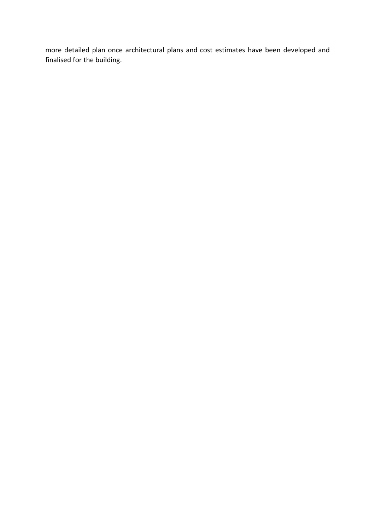more detailed plan once architectural plans and cost estimates have been developed and finalised for the building.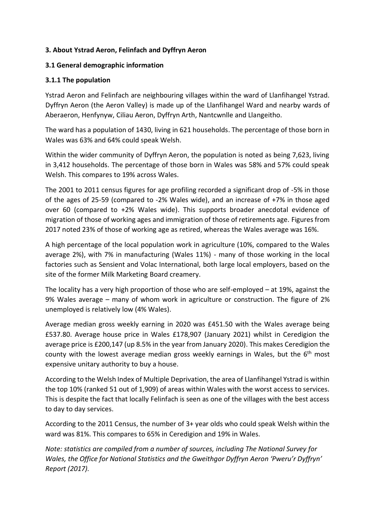## **3. About Ystrad Aeron, Felinfach and Dyffryn Aeron**

## **3.1 General demographic information**

## **3.1.1 The population**

Ystrad Aeron and Felinfach are neighbouring villages within the ward of Llanfihangel Ystrad. Dyffryn Aeron (the Aeron Valley) is made up of the Llanfihangel Ward and nearby wards of Aberaeron, Henfynyw, Ciliau Aeron, Dyffryn Arth, Nantcwnlle and Llangeitho.

The ward has a population of 1430, living in 621 households. The percentage of those born in Wales was 63% and 64% could speak Welsh.

Within the wider community of Dyffryn Aeron, the population is noted as being 7,623, living in 3,412 households. The percentage of those born in Wales was 58% and 57% could speak Welsh. This compares to 19% across Wales.

The 2001 to 2011 census figures for age profiling recorded a significant drop of -5% in those of the ages of 25-59 (compared to -2% Wales wide), and an increase of +7% in those aged over 60 (compared to +2% Wales wide). This supports broader anecdotal evidence of migration of those of working ages and immigration of those of retirements age. Figures from 2017 noted 23% of those of working age as retired, whereas the Wales average was 16%.

A high percentage of the local population work in agriculture (10%, compared to the Wales average 2%), with 7% in manufacturing (Wales 11%) - many of those working in the local factories such as Sensient and Volac International, both large local employers, based on the site of the former Milk Marketing Board creamery.

The locality has a very high proportion of those who are self-employed – at 19%, against the 9% Wales average – many of whom work in agriculture or construction. The figure of 2% unemployed is relatively low (4% Wales).

Average median gross weekly earning in 2020 was £451.50 with the Wales average being £537.80. Average house price in Wales £178,907 (January 2021) whilst in Ceredigion the average price is £200,147 (up 8.5% in the year from January 2020). This makes Ceredigion the county with the lowest average median gross weekly earnings in Wales, but the  $6<sup>th</sup>$  most expensive unitary authority to buy a house.

According to the Welsh Index of Multiple Deprivation, the area of Llanfihangel Ystrad is within the top 10% (ranked 51 out of 1,909) of areas within Wales with the worst access to services. This is despite the fact that locally Felinfach is seen as one of the villages with the best access to day to day services.

According to the 2011 Census, the number of 3+ year olds who could speak Welsh within the ward was 81%. This compares to 65% in Ceredigion and 19% in Wales.

*Note: statistics are compiled from a number of sources, including The National Survey for Wales, the Office for National Statistics and the Gweithgor Dyffryn Aeron 'Pweru'r Dyffryn' Report (2017).*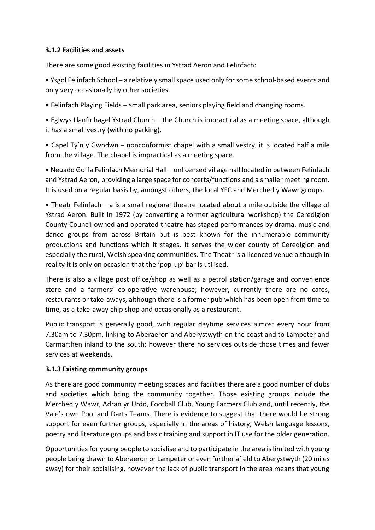## **3.1.2 Facilities and assets**

There are some good existing facilities in Ystrad Aeron and Felinfach:

• Ysgol Felinfach School – a relatively small space used only for some school-based events and only very occasionally by other societies.

• Felinfach Playing Fields – small park area, seniors playing field and changing rooms.

• Eglwys Llanfinhagel Ystrad Church – the Church is impractical as a meeting space, although it has a small vestry (with no parking).

• Capel Ty'n y Gwndwn – nonconformist chapel with a small vestry, it is located half a mile from the village. The chapel is impractical as a meeting space.

• Neuadd Goffa Felinfach Memorial Hall – unlicensed village hall located in between Felinfach and Ystrad Aeron, providing a large space for concerts/functions and a smaller meeting room. It is used on a regular basis by, amongst others, the local YFC and Merched y Wawr groups.

• Theatr Felinfach – a is a small regional theatre located about a mile outside the village of Ystrad Aeron. Built in 1972 (by converting a former agricultural workshop) the Ceredigion County Council owned and operated theatre has staged performances by drama, music and dance groups from across Britain but is best known for the innumerable community productions and functions which it stages. It serves the wider county of Ceredigion and especially the rural, Welsh speaking communities. The Theatr is a licenced venue although in reality it is only on occasion that the 'pop-up' bar is utilised.

There is also a village post office/shop as well as a petrol station/garage and convenience store and a farmers' co-operative warehouse; however, currently there are no cafes, restaurants or take-aways, although there is a former pub which has been open from time to time, as a take-away chip shop and occasionally as a restaurant.

Public transport is generally good, with regular daytime services almost every hour from 7.30am to 7.30pm, linking to Aberaeron and Aberystwyth on the coast and to Lampeter and Carmarthen inland to the south; however there no services outside those times and fewer services at weekends.

#### **3.1.3 Existing community groups**

As there are good community meeting spaces and facilities there are a good number of clubs and societies which bring the community together. Those existing groups include the Merched y Wawr, Adran yr Urdd, Football Club, Young Farmers Club and, until recently, the Vale's own Pool and Darts Teams. There is evidence to suggest that there would be strong support for even further groups, especially in the areas of history, Welsh language lessons, poetry and literature groups and basic training and support in IT use for the older generation.

Opportunities for young people to socialise and to participate in the area is limited with young people being drawn to Aberaeron or Lampeter or even further afield to Aberystwyth (20 miles away) for their socialising, however the lack of public transport in the area means that young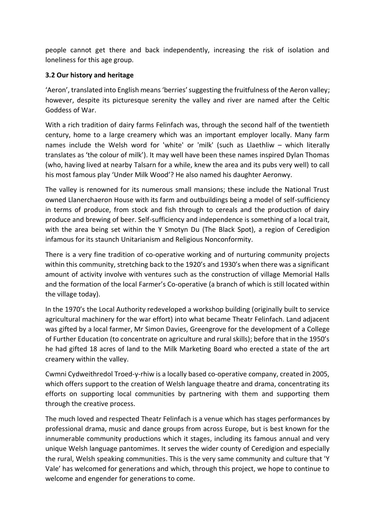people cannot get there and back independently, increasing the risk of isolation and loneliness for this age group.

## **3.2 Our history and heritage**

'Aeron', translated into English means 'berries' suggesting the fruitfulness of the Aeron valley; however, despite its picturesque serenity the valley and river are named after the Celtic Goddess of War.

With a rich tradition of dairy farms Felinfach was, through the second half of the twentieth century, home to a large creamery which was an important employer locally. Many farm names include the Welsh word for 'white' or 'milk' (such as Llaethliw – which literally translates as 'the colour of milk'). It may well have been these names inspired Dylan Thomas (who, having lived at nearby Talsarn for a while, knew the area and its pubs very well) to call his most famous play 'Under Milk Wood'? He also named his daughter Aeronwy.

The valley is renowned for its numerous small mansions; these include the National Trust owned Llanerchaeron House with its farm and outbuildings being a model of self-sufficiency in terms of produce, from stock and fish through to cereals and the production of dairy produce and brewing of beer. Self-sufficiency and independence is something of a local trait, with the area being set within the Y Smotyn Du (The Black Spot), a region of Ceredigion infamous for its staunch Unitarianism and Religious Nonconformity.

There is a very fine tradition of co-operative working and of nurturing community projects within this community, stretching back to the 1920's and 1930's when there was a significant amount of activity involve with ventures such as the construction of village Memorial Halls and the formation of the local Farmer's Co-operative (a branch of which is still located within the village today).

In the 1970's the Local Authority redeveloped a workshop building (originally built to service agricultural machinery for the war effort) into what became Theatr Felinfach. Land adjacent was gifted by a local farmer, Mr Simon Davies, Greengrove for the development of a College of Further Education (to concentrate on agriculture and rural skills); before that in the 1950's he had gifted 18 acres of land to the Milk Marketing Board who erected a state of the art creamery within the valley.

Cwmni Cydweithredol Troed-y-rhiw is a locally based co-operative company, created in 2005, which offers support to the creation of Welsh language theatre and drama, concentrating its efforts on supporting local communities by partnering with them and supporting them through the creative process.

The much loved and respected Theatr Felinfach is a venue which has stages performances by professional drama, music and dance groups from across Europe, but is best known for the innumerable community productions which it stages, including its famous annual and very unique Welsh language pantomimes. It serves the wider county of Ceredigion and especially the rural, Welsh speaking communities. This is the very same community and culture that 'Y Vale' has welcomed for generations and which, through this project, we hope to continue to welcome and engender for generations to come.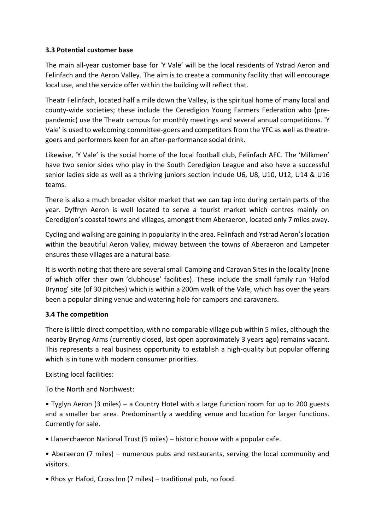## **3.3 Potential customer base**

The main all-year customer base for 'Y Vale' will be the local residents of Ystrad Aeron and Felinfach and the Aeron Valley. The aim is to create a community facility that will encourage local use, and the service offer within the building will reflect that.

Theatr Felinfach, located half a mile down the Valley, is the spiritual home of many local and county-wide societies; these include the Ceredigion Young Farmers Federation who (prepandemic) use the Theatr campus for monthly meetings and several annual competitions. 'Y Vale' is used to welcoming committee-goers and competitors from the YFC as well as theatregoers and performers keen for an after-performance social drink.

Likewise, 'Y Vale' is the social home of the local football club, Felinfach AFC. The 'Milkmen' have two senior sides who play in the South Ceredigion League and also have a successful senior ladies side as well as a thriving juniors section include U6, U8, U10, U12, U14 & U16 teams.

There is also a much broader visitor market that we can tap into during certain parts of the year. Dyffryn Aeron is well located to serve a tourist market which centres mainly on Ceredigion's coastal towns and villages, amongst them Aberaeron, located only 7 miles away.

Cycling and walking are gaining in popularity in the area. Felinfach and Ystrad Aeron's location within the beautiful Aeron Valley, midway between the towns of Aberaeron and Lampeter ensures these villages are a natural base.

It is worth noting that there are several small Camping and Caravan Sites in the locality (none of which offer their own 'clubhouse' facilities). These include the small family run 'Hafod Brynog' site (of 30 pitches) which is within a 200m walk of the Vale, which has over the years been a popular dining venue and watering hole for campers and caravaners.

## **3.4 The competition**

There is little direct competition, with no comparable village pub within 5 miles, although the nearby Brynog Arms (currently closed, last open approximately 3 years ago) remains vacant. This represents a real business opportunity to establish a high-quality but popular offering which is in tune with modern consumer priorities.

Existing local facilities:

To the North and Northwest:

• Tyglyn Aeron (3 miles) – a Country Hotel with a large function room for up to 200 guests and a smaller bar area. Predominantly a wedding venue and location for larger functions. Currently for sale.

• Llanerchaeron National Trust (5 miles) – historic house with a popular cafe.

• Aberaeron (7 miles) – numerous pubs and restaurants, serving the local community and visitors.

• Rhos yr Hafod, Cross Inn (7 miles) – traditional pub, no food.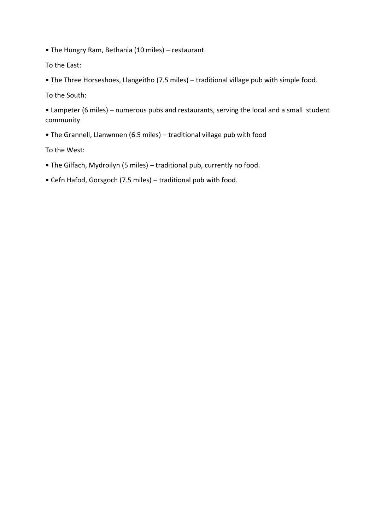- The Hungry Ram, Bethania (10 miles) restaurant.
- To the East:
- The Three Horseshoes, Llangeitho (7.5 miles) traditional village pub with simple food.

To the South:

- Lampeter (6 miles) numerous pubs and restaurants, serving the local and a small student community
- The Grannell, Llanwnnen (6.5 miles) traditional village pub with food

To the West:

- The Gilfach, Mydroilyn (5 miles) traditional pub, currently no food.
- Cefn Hafod, Gorsgoch (7.5 miles) traditional pub with food.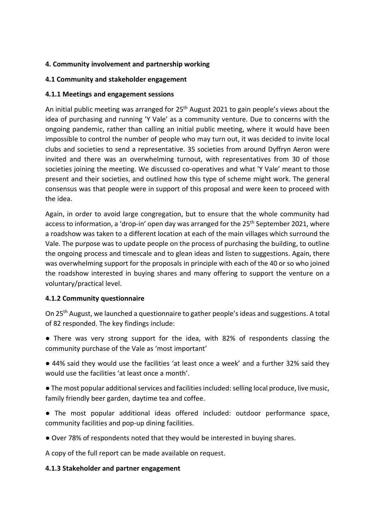## **4. Community involvement and partnership working**

## **4.1 Community and stakeholder engagement**

## **4.1.1 Meetings and engagement sessions**

An initial public meeting was arranged for 25<sup>th</sup> August 2021 to gain people's views about the idea of purchasing and running 'Y Vale' as a community venture. Due to concerns with the ongoing pandemic, rather than calling an initial public meeting, where it would have been impossible to control the number of people who may turn out, it was decided to invite local clubs and societies to send a representative. 35 societies from around Dyffryn Aeron were invited and there was an overwhelming turnout, with representatives from 30 of those societies joining the meeting. We discussed co-operatives and what 'Y Vale' meant to those present and their societies, and outlined how this type of scheme might work. The general consensus was that people were in support of this proposal and were keen to proceed with the idea.

Again, in order to avoid large congregation, but to ensure that the whole community had access to information, a 'drop-in' open day was arranged for the 25<sup>th</sup> September 2021, where a roadshow was taken to a different location at each of the main villages which surround the Vale. The purpose was to update people on the process of purchasing the building, to outline the ongoing process and timescale and to glean ideas and listen to suggestions. Again, there was overwhelming support for the proposals in principle with each of the 40 or so who joined the roadshow interested in buying shares and many offering to support the venture on a voluntary/practical level.

## **4.1.2 Community questionnaire**

On 25th August, we launched a questionnaire to gather people's ideas and suggestions. A total of 82 responded. The key findings include:

- There was very strong support for the idea, with 82% of respondents classing the community purchase of the Vale as 'most important'
- 44% said they would use the facilities 'at least once a week' and a further 32% said they would use the facilities 'at least once a month'.

● The most popular additional services and facilities included: selling local produce, live music, family friendly beer garden, daytime tea and coffee.

- The most popular additional ideas offered included: outdoor performance space, community facilities and pop-up dining facilities.
- Over 78% of respondents noted that they would be interested in buying shares.

A copy of the full report can be made available on request.

## **4.1.3 Stakeholder and partner engagement**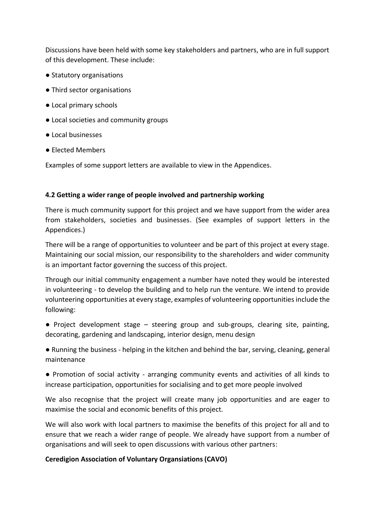Discussions have been held with some key stakeholders and partners, who are in full support of this development. These include:

- Statutory organisations
- Third sector organisations
- Local primary schools
- Local societies and community groups
- Local businesses
- Elected Members

Examples of some support letters are available to view in the Appendices.

#### **4.2 Getting a wider range of people involved and partnership working**

There is much community support for this project and we have support from the wider area from stakeholders, societies and businesses. (See examples of support letters in the Appendices.)

There will be a range of opportunities to volunteer and be part of this project at every stage. Maintaining our social mission, our responsibility to the shareholders and wider community is an important factor governing the success of this project.

Through our initial community engagement a number have noted they would be interested in volunteering - to develop the building and to help run the venture. We intend to provide volunteering opportunities at every stage, examples of volunteering opportunities include the following:

- Project development stage steering group and sub-groups, clearing site, painting, decorating, gardening and landscaping, interior design, menu design
- Running the business helping in the kitchen and behind the bar, serving, cleaning, general maintenance

● Promotion of social activity - arranging community events and activities of all kinds to increase participation, opportunities for socialising and to get more people involved

We also recognise that the project will create many job opportunities and are eager to maximise the social and economic benefits of this project.

We will also work with local partners to maximise the benefits of this project for all and to ensure that we reach a wider range of people. We already have support from a number of organisations and will seek to open discussions with various other partners:

## **Ceredigion Association of Voluntary Organsiations (CAVO)**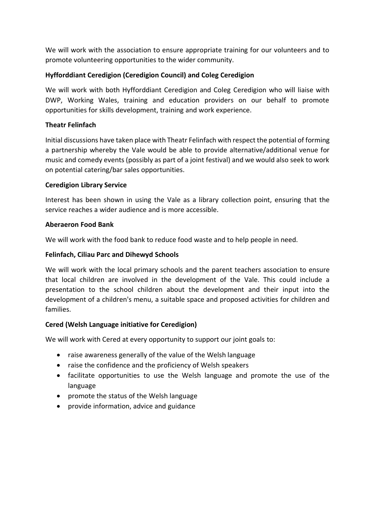We will work with the association to ensure appropriate training for our volunteers and to promote volunteering opportunities to the wider community.

## **Hyfforddiant Ceredigion (Ceredigion Council) and Coleg Ceredigion**

We will work with both Hyfforddiant Ceredigion and Coleg Ceredigion who will liaise with DWP, Working Wales, training and education providers on our behalf to promote opportunities for skills development, training and work experience.

## **Theatr Felinfach**

Initial discussions have taken place with Theatr Felinfach with respect the potential of forming a partnership whereby the Vale would be able to provide alternative/additional venue for music and comedy events (possibly as part of a joint festival) and we would also seek to work on potential catering/bar sales opportunities.

#### **Ceredigion Library Service**

Interest has been shown in using the Vale as a library collection point, ensuring that the service reaches a wider audience and is more accessible.

#### **Aberaeron Food Bank**

We will work with the food bank to reduce food waste and to help people in need.

#### **Felinfach, Ciliau Parc and Dihewyd Schools**

We will work with the local primary schools and the parent teachers association to ensure that local children are involved in the development of the Vale. This could include a presentation to the school children about the development and their input into the development of a children's menu, a suitable space and proposed activities for children and families.

## **Cered (Welsh Language initiative for Ceredigion)**

We will work with Cered at every opportunity to support our joint goals to:

- raise awareness generally of the value of the Welsh language
- raise the confidence and the proficiency of Welsh speakers
- facilitate opportunities to use the Welsh language and promote the use of the language
- promote the status of the Welsh language
- provide information, advice and guidance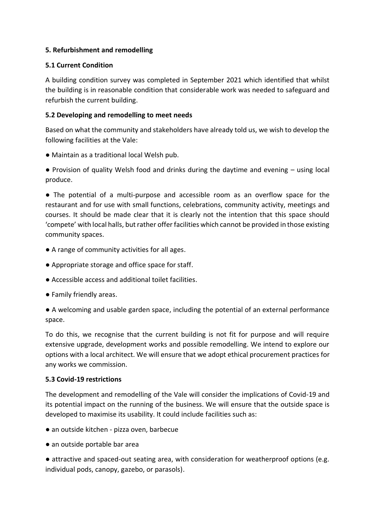## **5. Refurbishment and remodelling**

#### **5.1 Current Condition**

A building condition survey was completed in September 2021 which identified that whilst the building is in reasonable condition that considerable work was needed to safeguard and refurbish the current building.

#### **5.2 Developing and remodelling to meet needs**

Based on what the community and stakeholders have already told us, we wish to develop the following facilities at the Vale:

● Maintain as a traditional local Welsh pub.

● Provision of quality Welsh food and drinks during the daytime and evening – using local produce.

● The potential of a multi-purpose and accessible room as an overflow space for the restaurant and for use with small functions, celebrations, community activity, meetings and courses. It should be made clear that it is clearly not the intention that this space should 'compete' with local halls, but rather offer facilities which cannot be provided in those existing community spaces.

- A range of community activities for all ages.
- Appropriate storage and office space for staff.
- Accessible access and additional toilet facilities.
- Family friendly areas.

● A welcoming and usable garden space, including the potential of an external performance space.

To do this, we recognise that the current building is not fit for purpose and will require extensive upgrade, development works and possible remodelling. We intend to explore our options with a local architect. We will ensure that we adopt ethical procurement practices for any works we commission.

#### **5.3 Covid-19 restrictions**

The development and remodelling of the Vale will consider the implications of Covid-19 and its potential impact on the running of the business. We will ensure that the outside space is developed to maximise its usability. It could include facilities such as:

- an outside kitchen pizza oven, barbecue
- an outside portable bar area

• attractive and spaced-out seating area, with consideration for weatherproof options (e.g. individual pods, canopy, gazebo, or parasols).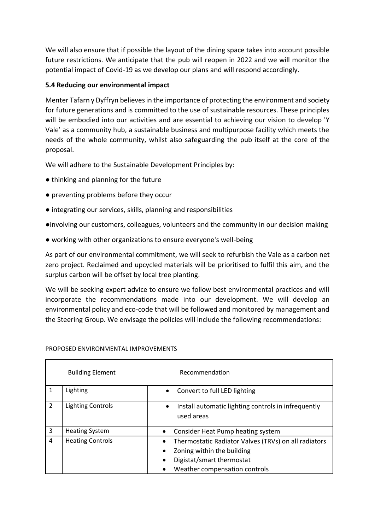We will also ensure that if possible the layout of the dining space takes into account possible future restrictions. We anticipate that the pub will reopen in 2022 and we will monitor the potential impact of Covid-19 as we develop our plans and will respond accordingly.

## **5.4 Reducing our environmental impact**

Menter Tafarn y Dyffryn believes in the importance of protecting the environment and society for future generations and is committed to the use of sustainable resources. These principles will be embodied into our activities and are essential to achieving our vision to develop 'Y Vale' as a community hub, a sustainable business and multipurpose facility which meets the needs of the whole community, whilst also safeguarding the pub itself at the core of the proposal.

We will adhere to the Sustainable Development Principles by:

- thinking and planning for the future
- preventing problems before they occur
- integrating our services, skills, planning and responsibilities
- ●involving our customers, colleagues, volunteers and the community in our decision making
- working with other organizations to ensure everyone's well-being

As part of our environmental commitment, we will seek to refurbish the Vale as a carbon net zero project. Reclaimed and upcycled materials will be prioritised to fulfil this aim, and the surplus carbon will be offset by local tree planting.

We will be seeking expert advice to ensure we follow best environmental practices and will incorporate the recommendations made into our development. We will develop an environmental policy and eco-code that will be followed and monitored by management and the Steering Group. We envisage the policies will include the following recommendations:

|                | <b>Building Element</b>  | Recommendation                                                                                                                                                |  |  |
|----------------|--------------------------|---------------------------------------------------------------------------------------------------------------------------------------------------------------|--|--|
|                | Lighting                 | Convert to full LED lighting<br>$\bullet$                                                                                                                     |  |  |
| $\overline{2}$ | <b>Lighting Controls</b> | Install automatic lighting controls in infrequently<br>$\bullet$<br>used areas                                                                                |  |  |
| 3              | <b>Heating System</b>    | Consider Heat Pump heating system                                                                                                                             |  |  |
| 4              | <b>Heating Controls</b>  | Thermostatic Radiator Valves (TRVs) on all radiators<br>Zoning within the building<br>$\bullet$<br>Digistat/smart thermostat<br>Weather compensation controls |  |  |

#### PROPOSED ENVIRONMENTAL IMPROVEMENTS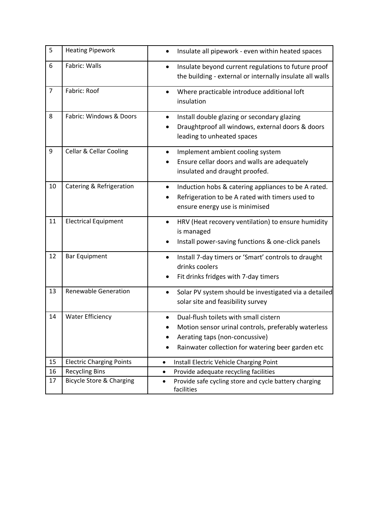| 5              | <b>Heating Pipework</b>             | Insulate all pipework - even within heated spaces                                                                                                                                   |  |  |
|----------------|-------------------------------------|-------------------------------------------------------------------------------------------------------------------------------------------------------------------------------------|--|--|
| 6              | Fabric: Walls                       | Insulate beyond current regulations to future proof<br>the building - external or internally insulate all walls                                                                     |  |  |
| $\overline{7}$ | Fabric: Roof                        | Where practicable introduce additional loft<br>$\bullet$<br>insulation                                                                                                              |  |  |
| 8              | Fabric: Windows & Doors             | Install double glazing or secondary glazing<br>Draughtproof all windows, external doors & doors<br>leading to unheated spaces                                                       |  |  |
| 9              | <b>Cellar &amp; Cellar Cooling</b>  | Implement ambient cooling system<br>$\bullet$<br>Ensure cellar doors and walls are adequately<br>insulated and draught proofed.                                                     |  |  |
| 10             | Catering & Refrigeration            | Induction hobs & catering appliances to be A rated.<br>$\bullet$<br>Refrigeration to be A rated with timers used to<br>ensure energy use is minimised                               |  |  |
| 11             | <b>Electrical Equipment</b>         | HRV (Heat recovery ventilation) to ensure humidity<br>is managed<br>Install power-saving functions & one-click panels                                                               |  |  |
| 12             | <b>Bar Equipment</b>                | Install 7-day timers or 'Smart' controls to draught<br>$\bullet$<br>drinks coolers<br>Fit drinks fridges with 7-day timers                                                          |  |  |
| 13             | <b>Renewable Generation</b>         | Solar PV system should be investigated via a detailed<br>$\bullet$<br>solar site and feasibility survey                                                                             |  |  |
| 14             | <b>Water Efficiency</b>             | Dual-flush toilets with small cistern<br>Motion sensor urinal controls, preferably waterless<br>Aerating taps (non-concussive)<br>Rainwater collection for watering beer garden etc |  |  |
| 15             | <b>Electric Charging Points</b>     | Install Electric Vehicle Charging Point<br>$\bullet$                                                                                                                                |  |  |
| 16             | <b>Recycling Bins</b>               | Provide adequate recycling facilities<br>$\bullet$                                                                                                                                  |  |  |
| 17             | <b>Bicycle Store &amp; Charging</b> | Provide safe cycling store and cycle battery charging<br>$\bullet$<br>facilities                                                                                                    |  |  |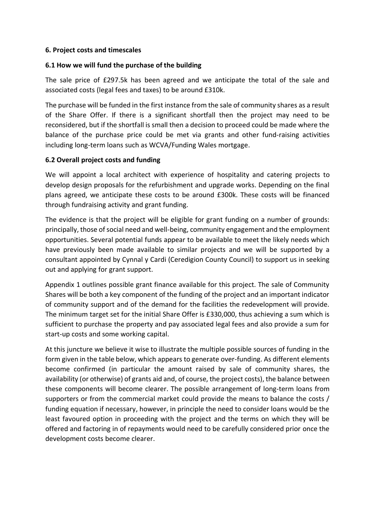#### **6. Project costs and timescales**

#### **6.1 How we will fund the purchase of the building**

The sale price of £297.5k has been agreed and we anticipate the total of the sale and associated costs (legal fees and taxes) to be around £310k.

The purchase will be funded in the first instance from the sale of community shares as a result of the Share Offer. If there is a significant shortfall then the project may need to be reconsidered, but if the shortfall is small then a decision to proceed could be made where the balance of the purchase price could be met via grants and other fund-raising activities including long-term loans such as WCVA/Funding Wales mortgage.

#### **6.2 Overall project costs and funding**

We will appoint a local architect with experience of hospitality and catering projects to develop design proposals for the refurbishment and upgrade works. Depending on the final plans agreed, we anticipate these costs to be around £300k. These costs will be financed through fundraising activity and grant funding.

The evidence is that the project will be eligible for grant funding on a number of grounds: principally, those of social need and well-being, community engagement and the employment opportunities. Several potential funds appear to be available to meet the likely needs which have previously been made available to similar projects and we will be supported by a consultant appointed by Cynnal y Cardi (Ceredigion County Council) to support us in seeking out and applying for grant support.

Appendix 1 outlines possible grant finance available for this project. The sale of Community Shares will be both a key component of the funding of the project and an important indicator of community support and of the demand for the facilities the redevelopment will provide. The minimum target set for the initial Share Offer is £330,000, thus achieving a sum which is sufficient to purchase the property and pay associated legal fees and also provide a sum for start-up costs and some working capital.

At this juncture we believe it wise to illustrate the multiple possible sources of funding in the form given in the table below, which appears to generate over-funding. As different elements become confirmed (in particular the amount raised by sale of community shares, the availability (or otherwise) of grants aid and, of course, the project costs), the balance between these components will become clearer. The possible arrangement of long-term loans from supporters or from the commercial market could provide the means to balance the costs / funding equation if necessary, however, in principle the need to consider loans would be the least favoured option in proceeding with the project and the terms on which they will be offered and factoring in of repayments would need to be carefully considered prior once the development costs become clearer.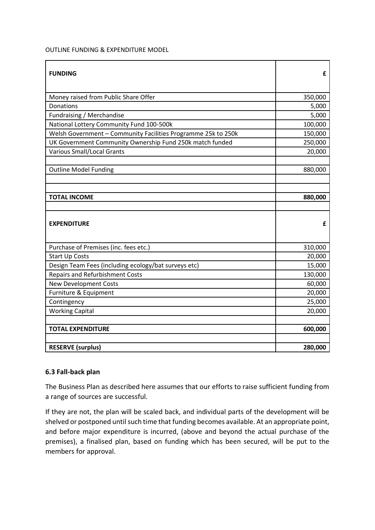#### OUTLINE FUNDING & EXPENDITURE MODEL

| <b>FUNDING</b>                                                | £       |
|---------------------------------------------------------------|---------|
| Money raised from Public Share Offer                          | 350,000 |
| Donations                                                     | 5,000   |
| Fundraising / Merchandise                                     | 5,000   |
| National Lottery Community Fund 100-500k                      | 100,000 |
| Welsh Government - Community Facilities Programme 25k to 250k | 150,000 |
| UK Government Community Ownership Fund 250k match funded      | 250,000 |
| <b>Various Small/Local Grants</b>                             | 20,000  |
|                                                               |         |
| <b>Outline Model Funding</b>                                  | 880,000 |
|                                                               |         |
|                                                               |         |
| <b>TOTAL INCOME</b>                                           | 880,000 |
|                                                               |         |
| <b>EXPENDITURE</b>                                            | £       |
| Purchase of Premises (inc. fees etc.)                         | 310,000 |
| <b>Start Up Costs</b>                                         | 20,000  |
| Design Team Fees (including ecology/bat surveys etc)          | 15,000  |
| <b>Repairs and Refurbishment Costs</b>                        | 130,000 |
| <b>New Development Costs</b>                                  | 60,000  |
| Furniture & Equipment                                         | 20,000  |
| Contingency                                                   | 25,000  |
| <b>Working Capital</b>                                        | 20,000  |
|                                                               |         |
| <b>TOTAL EXPENDITURE</b>                                      | 600,000 |
|                                                               |         |
| <b>RESERVE (surplus)</b>                                      | 280,000 |

#### **6.3 Fall-back plan**

The Business Plan as described here assumes that our efforts to raise sufficient funding from a range of sources are successful.

If they are not, the plan will be scaled back, and individual parts of the development will be shelved or postponed until such time that funding becomes available. At an appropriate point, and before major expenditure is incurred, (above and beyond the actual purchase of the premises), a finalised plan, based on funding which has been secured, will be put to the members for approval.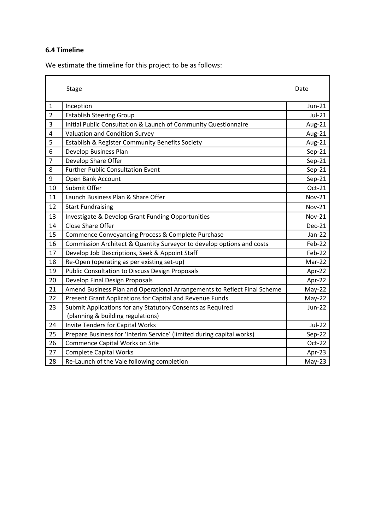## **6.4 Timeline**

We estimate the timeline for this project to be as follows:

|                | <b>Stage</b>                                                             | Date          |
|----------------|--------------------------------------------------------------------------|---------------|
| $\mathbf{1}$   | Inception                                                                | Jun-21        |
| $\overline{2}$ | <b>Establish Steering Group</b>                                          | $Jul-21$      |
| 3              | Initial Public Consultation & Launch of Community Questionnaire          | Aug-21        |
| 4              | Valuation and Condition Survey                                           | Aug-21        |
| 5              | Establish & Register Community Benefits Society                          | Aug-21        |
| 6              | Develop Business Plan                                                    | $Sep-21$      |
| $\overline{7}$ | Develop Share Offer                                                      | $Sep-21$      |
| 8              | <b>Further Public Consultation Event</b>                                 | $Sep-21$      |
| 9              | Open Bank Account                                                        | $Sep-21$      |
| 10             | Submit Offer                                                             | Oct-21        |
| 11             | Launch Business Plan & Share Offer                                       | <b>Nov-21</b> |
| 12             | <b>Start Fundraising</b>                                                 | <b>Nov-21</b> |
| 13             | Investigate & Develop Grant Funding Opportunities                        | <b>Nov-21</b> |
| 14             | Close Share Offer                                                        | $Dec-21$      |
| 15             | Commence Conveyancing Process & Complete Purchase                        | $Jan-22$      |
| 16             | Commission Architect & Quantity Surveyor to develop options and costs    | Feb-22        |
| 17             | Develop Job Descriptions, Seek & Appoint Staff                           | Feb-22        |
| 18             | Re-Open (operating as per existing set-up)                               | Mar-22        |
| 19             | <b>Public Consultation to Discuss Design Proposals</b>                   | Apr-22        |
| 20             | Develop Final Design Proposals                                           | Apr-22        |
| 21             | Amend Business Plan and Operational Arrangements to Reflect Final Scheme | $May-22$      |
| 22             | Present Grant Applications for Capital and Revenue Funds                 | $May-22$      |
| 23             | Submit Applications for any Statutory Consents as Required               | <b>Jun-22</b> |
|                | (planning & building regulations)                                        |               |
| 24             | <b>Invite Tenders for Capital Works</b>                                  | Jul-22        |
| 25             | Prepare Business for 'Interim Service' (limited during capital works)    | Sep-22        |
| 26             | <b>Commence Capital Works on Site</b>                                    | Oct-22        |
| 27             | <b>Complete Capital Works</b>                                            | Apr-23        |
| 28             | Re-Launch of the Vale following completion                               | $May-23$      |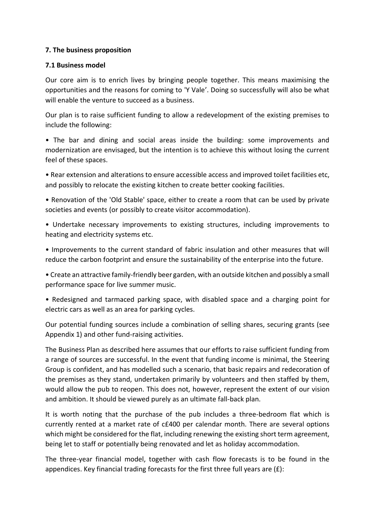#### **7. The business proposition**

#### **7.1 Business model**

Our core aim is to enrich lives by bringing people together. This means maximising the opportunities and the reasons for coming to 'Y Vale'. Doing so successfully will also be what will enable the venture to succeed as a business.

Our plan is to raise sufficient funding to allow a redevelopment of the existing premises to include the following:

• The bar and dining and social areas inside the building: some improvements and modernization are envisaged, but the intention is to achieve this without losing the current feel of these spaces.

• Rear extension and alterations to ensure accessible access and improved toilet facilities etc, and possibly to relocate the existing kitchen to create better cooking facilities.

• Renovation of the 'Old Stable' space, either to create a room that can be used by private societies and events (or possibly to create visitor accommodation).

• Undertake necessary improvements to existing structures, including improvements to heating and electricity systems etc.

• Improvements to the current standard of fabric insulation and other measures that will reduce the carbon footprint and ensure the sustainability of the enterprise into the future.

• Create an attractive family-friendly beer garden, with an outside kitchen and possibly a small performance space for live summer music.

• Redesigned and tarmaced parking space, with disabled space and a charging point for electric cars as well as an area for parking cycles.

Our potential funding sources include a combination of selling shares, securing grants (see Appendix 1) and other fund-raising activities.

The Business Plan as described here assumes that our efforts to raise sufficient funding from a range of sources are successful. In the event that funding income is minimal, the Steering Group is confident, and has modelled such a scenario, that basic repairs and redecoration of the premises as they stand, undertaken primarily by volunteers and then staffed by them, would allow the pub to reopen. This does not, however, represent the extent of our vision and ambition. It should be viewed purely as an ultimate fall-back plan.

It is worth noting that the purchase of the pub includes a three-bedroom flat which is currently rented at a market rate of c£400 per calendar month. There are several options which might be considered for the flat, including renewing the existing short term agreement, being let to staff or potentially being renovated and let as holiday accommodation.

The three-year financial model, together with cash flow forecasts is to be found in the appendices. Key financial trading forecasts for the first three full years are  $(E)$ :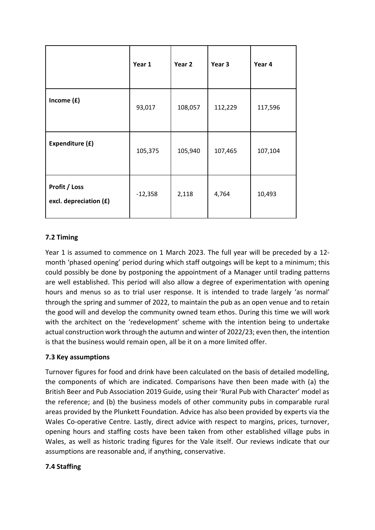|                                         | Year 1    | Year 2  | Year 3  | Year 4  |
|-----------------------------------------|-----------|---------|---------|---------|
| Income $(f)$                            | 93,017    | 108,057 | 112,229 | 117,596 |
| Expenditure (£)                         | 105,375   | 105,940 | 107,465 | 107,104 |
| Profit / Loss<br>excl. depreciation (£) | $-12,358$ | 2,118   | 4,764   | 10,493  |

## **7.2 Timing**

Year 1 is assumed to commence on 1 March 2023. The full year will be preceded by a 12 month 'phased opening' period during which staff outgoings will be kept to a minimum; this could possibly be done by postponing the appointment of a Manager until trading patterns are well established. This period will also allow a degree of experimentation with opening hours and menus so as to trial user response. It is intended to trade largely 'as normal' through the spring and summer of 2022, to maintain the pub as an open venue and to retain the good will and develop the community owned team ethos. During this time we will work with the architect on the 'redevelopment' scheme with the intention being to undertake actual construction work through the autumn and winter of 2022/23; even then, the intention is that the business would remain open, all be it on a more limited offer.

## **7.3 Key assumptions**

Turnover figures for food and drink have been calculated on the basis of detailed modelling, the components of which are indicated. Comparisons have then been made with (a) the British Beer and Pub Association 2019 Guide, using their 'Rural Pub with Character' model as the reference; and (b) the business models of other community pubs in comparable rural areas provided by the Plunkett Foundation. Advice has also been provided by experts via the Wales Co-operative Centre. Lastly, direct advice with respect to margins, prices, turnover, opening hours and staffing costs have been taken from other established village pubs in Wales, as well as historic trading figures for the Vale itself. Our reviews indicate that our assumptions are reasonable and, if anything, conservative.

## **7.4 Staffing**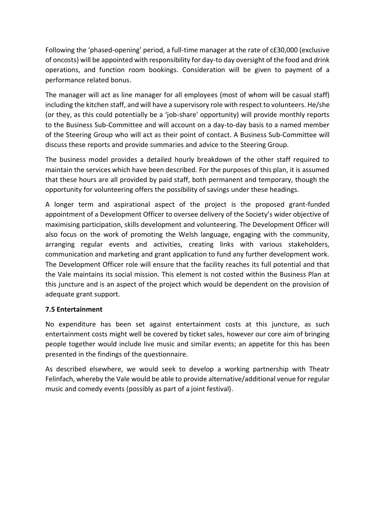Following the 'phased-opening' period, a full-time manager at the rate of c£30,000 (exclusive of oncosts) will be appointed with responsibility for day-to day oversight of the food and drink operations, and function room bookings. Consideration will be given to payment of a performance related bonus.

The manager will act as line manager for all employees (most of whom will be casual staff) including the kitchen staff, and will have a supervisory role with respect to volunteers. He/she (or they, as this could potentially be a 'job-share' opportunity) will provide monthly reports to the Business Sub-Committee and will account on a day-to-day basis to a named member of the Steering Group who will act as their point of contact. A Business Sub-Committee will discuss these reports and provide summaries and advice to the Steering Group.

The business model provides a detailed hourly breakdown of the other staff required to maintain the services which have been described. For the purposes of this plan, it is assumed that these hours are all provided by paid staff, both permanent and temporary, though the opportunity for volunteering offers the possibility of savings under these headings.

A longer term and aspirational aspect of the project is the proposed grant-funded appointment of a Development Officer to oversee delivery of the Society's wider objective of maximising participation, skills development and volunteering. The Development Officer will also focus on the work of promoting the Welsh language, engaging with the community, arranging regular events and activities, creating links with various stakeholders, communication and marketing and grant application to fund any further development work. The Development Officer role will ensure that the facility reaches its full potential and that the Vale maintains its social mission. This element is not costed within the Business Plan at this juncture and is an aspect of the project which would be dependent on the provision of adequate grant support.

## **7.5 Entertainment**

No expenditure has been set against entertainment costs at this juncture, as such entertainment costs might well be covered by ticket sales, however our core aim of bringing people together would include live music and similar events; an appetite for this has been presented in the findings of the questionnaire.

As described elsewhere, we would seek to develop a working partnership with Theatr Felinfach, whereby the Vale would be able to provide alternative/additional venue for regular music and comedy events (possibly as part of a joint festival).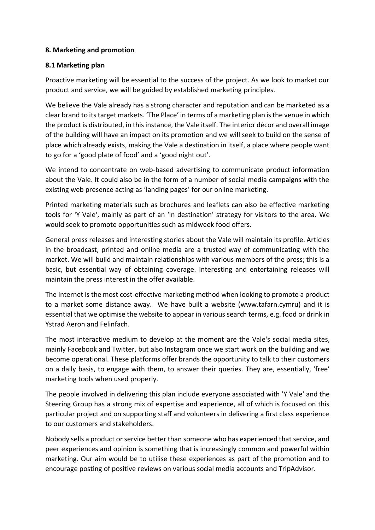## **8. Marketing and promotion**

#### **8.1 Marketing plan**

Proactive marketing will be essential to the success of the project. As we look to market our product and service, we will be guided by established marketing principles.

We believe the Vale already has a strong character and reputation and can be marketed as a clear brand to its target markets. 'The Place' in terms of a marketing plan is the venue in which the product is distributed, in this instance, the Vale itself. The interior décor and overall image of the building will have an impact on its promotion and we will seek to build on the sense of place which already exists, making the Vale a destination in itself, a place where people want to go for a 'good plate of food' and a 'good night out'.

We intend to concentrate on web-based advertising to communicate product information about the Vale. It could also be in the form of a number of social media campaigns with the existing web presence acting as 'landing pages' for our online marketing.

Printed marketing materials such as brochures and leaflets can also be effective marketing tools for 'Y Vale', mainly as part of an 'in destination' strategy for visitors to the area. We would seek to promote opportunities such as midweek food offers.

General press releases and interesting stories about the Vale will maintain its profile. Articles in the broadcast, printed and online media are a trusted way of communicating with the market. We will build and maintain relationships with various members of the press; this is a basic, but essential way of obtaining coverage. Interesting and entertaining releases will maintain the press interest in the offer available.

The Internet is the most cost-effective marketing method when looking to promote a product to a market some distance away. We have built a website (www.tafarn.cymru) and it is essential that we optimise the website to appear in various search terms, e.g. food or drink in Ystrad Aeron and Felinfach.

The most interactive medium to develop at the moment are the Vale's social media sites, mainly Facebook and Twitter, but also Instagram once we start work on the building and we become operational. These platforms offer brands the opportunity to talk to their customers on a daily basis, to engage with them, to answer their queries. They are, essentially, 'free' marketing tools when used properly.

The people involved in delivering this plan include everyone associated with 'Y Vale' and the Steering Group has a strong mix of expertise and experience, all of which is focused on this particular project and on supporting staff and volunteers in delivering a first class experience to our customers and stakeholders.

Nobody sells a product or service better than someone who has experienced that service, and peer experiences and opinion is something that is increasingly common and powerful within marketing. Our aim would be to utilise these experiences as part of the promotion and to encourage posting of positive reviews on various social media accounts and TripAdvisor.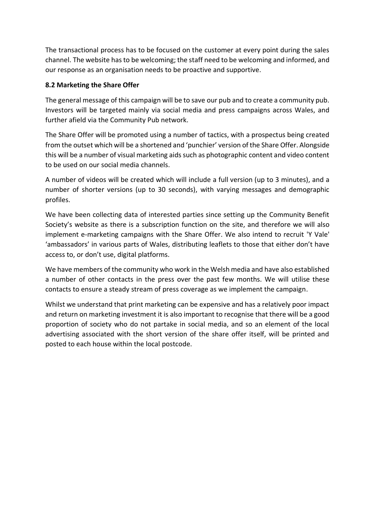The transactional process has to be focused on the customer at every point during the sales channel. The website has to be welcoming; the staff need to be welcoming and informed, and our response as an organisation needs to be proactive and supportive.

## **8.2 Marketing the Share Offer**

The general message of this campaign will be to save our pub and to create a community pub. Investors will be targeted mainly via social media and press campaigns across Wales, and further afield via the Community Pub network.

The Share Offer will be promoted using a number of tactics, with a prospectus being created from the outset which will be a shortened and 'punchier' version of the Share Offer. Alongside this will be a number of visual marketing aids such as photographic content and video content to be used on our social media channels.

A number of videos will be created which will include a full version (up to 3 minutes), and a number of shorter versions (up to 30 seconds), with varying messages and demographic profiles.

We have been collecting data of interested parties since setting up the Community Benefit Society's website as there is a subscription function on the site, and therefore we will also implement e-marketing campaigns with the Share Offer. We also intend to recruit 'Y Vale' 'ambassadors' in various parts of Wales, distributing leaflets to those that either don't have access to, or don't use, digital platforms.

We have members of the community who work in the Welsh media and have also established a number of other contacts in the press over the past few months. We will utilise these contacts to ensure a steady stream of press coverage as we implement the campaign.

Whilst we understand that print marketing can be expensive and has a relatively poor impact and return on marketing investment it is also important to recognise that there will be a good proportion of society who do not partake in social media, and so an element of the local advertising associated with the short version of the share offer itself, will be printed and posted to each house within the local postcode.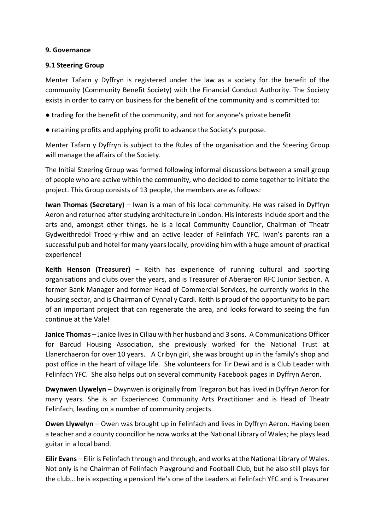#### **9. Governance**

## **9.1 Steering Group**

Menter Tafarn y Dyffryn is registered under the law as a society for the benefit of the community (Community Benefit Society) with the Financial Conduct Authority. The Society exists in order to carry on business for the benefit of the community and is committed to:

- trading for the benefit of the community, and not for anyone's private benefit
- retaining profits and applying profit to advance the Society's purpose.

Menter Tafarn y Dyffryn is subject to the Rules of the organisation and the Steering Group will manage the affairs of the Society.

The Initial Steering Group was formed following informal discussions between a small group of people who are active within the community, who decided to come together to initiate the project. This Group consists of 13 people, the members are as follows:

**Iwan Thomas (Secretary)** – Iwan is a man of his local community. He was raised in Dyffryn Aeron and returned after studying architecture in London. His interests include sport and the arts and, amongst other things, he is a local Community Councilor, Chairman of Theatr Gydweithredol Troed-y-rhiw and an active leader of Felinfach YFC. Iwan's parents ran a successful pub and hotel for many years locally, providing him with a huge amount of practical experience!

**Keith Henson (Treasurer)** – Keith has experience of running cultural and sporting organisations and clubs over the years, and is Treasurer of Aberaeron RFC Junior Section. A former Bank Manager and former Head of Commercial Services, he currently works in the housing sector, and is Chairman of Cynnal y Cardi. Keith is proud of the opportunity to be part of an important project that can regenerate the area, and looks forward to seeing the fun continue at the Vale!

**Janice Thomas** – Janice lives in Ciliau with her husband and 3 sons. A Communications Officer for Barcud Housing Association, she previously worked for the National Trust at Llanerchaeron for over 10 years. A Cribyn girl, she was brought up in the family's shop and post office in the heart of village life. She volunteers for Tir Dewi and is a Club Leader with Felinfach YFC. She also helps out on several community Facebook pages in Dyffryn Aeron.

**Dwynwen Llywelyn** – Dwynwen is originally from Tregaron but has lived in Dyffryn Aeron for many years. She is an Experienced Community Arts Practitioner and is Head of Theatr Felinfach, leading on a number of community projects.

**Owen Llywelyn** – Owen was brought up in Felinfach and lives in Dyffryn Aeron. Having been a teacher and a county councillor he now works at the National Library of Wales; he plays lead guitar in a local band.

**Eilir Evans** – Eilir is Felinfach through and through, and works at the National Library of Wales. Not only is he Chairman of Felinfach Playground and Football Club, but he also still plays for the club… he is expecting a pension! He's one of the Leaders at Felinfach YFC and is Treasurer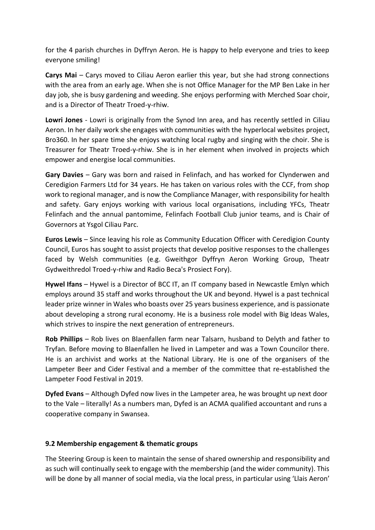for the 4 parish churches in Dyffryn Aeron. He is happy to help everyone and tries to keep everyone smiling!

**Carys Mai** – Carys moved to Ciliau Aeron earlier this year, but she had strong connections with the area from an early age. When she is not Office Manager for the MP Ben Lake in her day job, she is busy gardening and weeding. She enjoys performing with Merched Soar choir, and is a Director of Theatr Troed-y-rhiw.

**Lowri Jones** - Lowri is originally from the Synod Inn area, and has recently settled in Ciliau Aeron. In her daily work she engages with communities with the hyperlocal websites project, Bro360. In her spare time she enjoys watching local rugby and singing with the choir. She is Treasurer for Theatr Troed-y-rhiw. She is in her element when involved in projects which empower and energise local communities.

**Gary Davies** – Gary was born and raised in Felinfach, and has worked for Clynderwen and Ceredigion Farmers Ltd for 34 years. He has taken on various roles with the CCF, from shop work to regional manager, and is now the Compliance Manager, with responsibility for health and safety. Gary enjoys working with various local organisations, including YFCs, Theatr Felinfach and the annual pantomime, Felinfach Football Club junior teams, and is Chair of Governors at Ysgol Ciliau Parc.

**Euros Lewis** – Since leaving his role as Community Education Officer with Ceredigion County Council, Euros has sought to assist projects that develop positive responses to the challenges faced by Welsh communities (e.g. Gweithgor Dyffryn Aeron Working Group, Theatr Gydweithredol Troed-y-rhiw and Radio Beca's Prosiect Fory).

**Hywel Ifans** – Hywel is a Director of BCC IT, an IT company based in Newcastle Emlyn which employs around 35 staff and works throughout the UK and beyond. Hywel is a past technical leader prize winner in Wales who boasts over 25 years business experience, and is passionate about developing a strong rural economy. He is a business role model with Big Ideas Wales, which strives to inspire the next generation of entrepreneurs.

**Rob Phillips** – Rob lives on Blaenfallen farm near Talsarn, husband to Delyth and father to Tryfan. Before moving to Blaenfallen he lived in Lampeter and was a Town Councilor there. He is an archivist and works at the National Library. He is one of the organisers of the Lampeter Beer and Cider Festival and a member of the committee that re-established the Lampeter Food Festival in 2019.

**Dyfed Evans** – Although Dyfed now lives in the Lampeter area, he was brought up next door to the Vale – literally! As a numbers man, Dyfed is an ACMA qualified accountant and runs a cooperative company in Swansea.

## **9.2 Membership engagement & thematic groups**

The Steering Group is keen to maintain the sense of shared ownership and responsibility and as such will continually seek to engage with the membership (and the wider community). This will be done by all manner of social media, via the local press, in particular using 'Llais Aeron'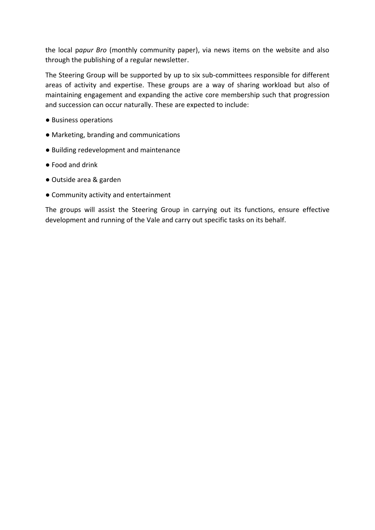the local p*apur Bro* (monthly community paper), via news items on the website and also through the publishing of a regular newsletter.

The Steering Group will be supported by up to six sub-committees responsible for different areas of activity and expertise. These groups are a way of sharing workload but also of maintaining engagement and expanding the active core membership such that progression and succession can occur naturally. These are expected to include:

- Business operations
- Marketing, branding and communications
- Building redevelopment and maintenance
- Food and drink
- Outside area & garden
- Community activity and entertainment

The groups will assist the Steering Group in carrying out its functions, ensure effective development and running of the Vale and carry out specific tasks on its behalf.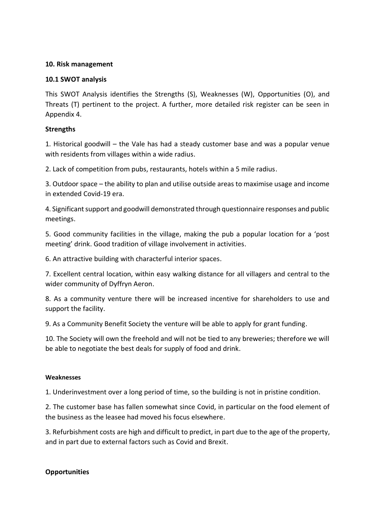#### **10. Risk management**

## **10.1 SWOT analysis**

This SWOT Analysis identifies the Strengths (S), Weaknesses (W), Opportunities (O), and Threats (T) pertinent to the project. A further, more detailed risk register can be seen in Appendix 4.

## **Strengths**

1. Historical goodwill – the Vale has had a steady customer base and was a popular venue with residents from villages within a wide radius.

2. Lack of competition from pubs, restaurants, hotels within a 5 mile radius.

3. Outdoor space – the ability to plan and utilise outside areas to maximise usage and income in extended Covid-19 era.

4. Significant support and goodwill demonstrated through questionnaire responses and public meetings.

5. Good community facilities in the village, making the pub a popular location for a 'post meeting' drink. Good tradition of village involvement in activities.

6. An attractive building with characterful interior spaces.

7. Excellent central location, within easy walking distance for all villagers and central to the wider community of Dyffryn Aeron.

8. As a community venture there will be increased incentive for shareholders to use and support the facility.

9. As a Community Benefit Society the venture will be able to apply for grant funding.

10. The Society will own the freehold and will not be tied to any breweries; therefore we will be able to negotiate the best deals for supply of food and drink.

#### **Weaknesses**

1. Underinvestment over a long period of time, so the building is not in pristine condition.

2. The customer base has fallen somewhat since Covid, in particular on the food element of the business as the leasee had moved his focus elsewhere.

3. Refurbishment costs are high and difficult to predict, in part due to the age of the property, and in part due to external factors such as Covid and Brexit.

#### **Opportunities**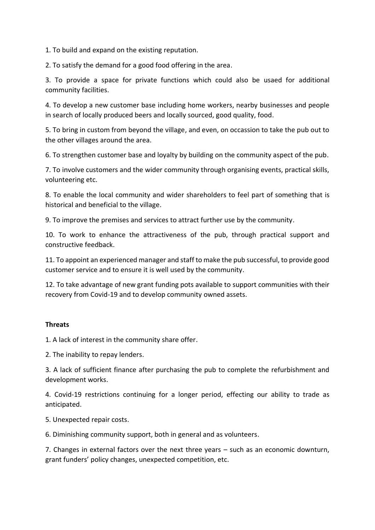1. To build and expand on the existing reputation.

2. To satisfy the demand for a good food offering in the area.

3. To provide a space for private functions which could also be usaed for additional community facilities.

4. To develop a new customer base including home workers, nearby businesses and people in search of locally produced beers and locally sourced, good quality, food.

5. To bring in custom from beyond the village, and even, on occassion to take the pub out to the other villages around the area.

6. To strengthen customer base and loyalty by building on the community aspect of the pub.

7. To involve customers and the wider community through organising events, practical skills, volunteering etc.

8. To enable the local community and wider shareholders to feel part of something that is historical and beneficial to the village.

9. To improve the premises and services to attract further use by the community.

10. To work to enhance the attractiveness of the pub, through practical support and constructive feedback.

11. To appoint an experienced manager and staff to make the pub successful, to provide good customer service and to ensure it is well used by the community.

12. To take advantage of new grant funding pots available to support communities with their recovery from Covid-19 and to develop community owned assets.

#### **Threats**

1. A lack of interest in the community share offer.

2. The inability to repay lenders.

3. A lack of sufficient finance after purchasing the pub to complete the refurbishment and development works.

4. Covid-19 restrictions continuing for a longer period, effecting our ability to trade as anticipated.

5. Unexpected repair costs.

6. Diminishing community support, both in general and as volunteers.

7. Changes in external factors over the next three years – such as an economic downturn, grant funders' policy changes, unexpected competition, etc.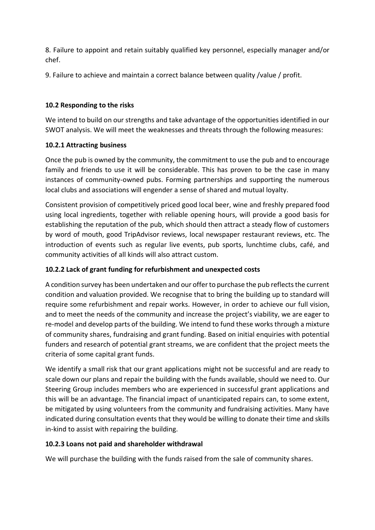8. Failure to appoint and retain suitably qualified key personnel, especially manager and/or chef.

9. Failure to achieve and maintain a correct balance between quality /value / profit.

## **10.2 Responding to the risks**

We intend to build on our strengths and take advantage of the opportunities identified in our SWOT analysis. We will meet the weaknesses and threats through the following measures:

## **10.2.1 Attracting business**

Once the pub is owned by the community, the commitment to use the pub and to encourage family and friends to use it will be considerable. This has proven to be the case in many instances of community-owned pubs. Forming partnerships and supporting the numerous local clubs and associations will engender a sense of shared and mutual loyalty.

Consistent provision of competitively priced good local beer, wine and freshly prepared food using local ingredients, together with reliable opening hours, will provide a good basis for establishing the reputation of the pub, which should then attract a steady flow of customers by word of mouth, good TripAdvisor reviews, local newspaper restaurant reviews, etc. The introduction of events such as regular live events, pub sports, lunchtime clubs, café, and community activities of all kinds will also attract custom.

## **10.2.2 Lack of grant funding for refurbishment and unexpected costs**

A condition survey has been undertaken and our offer to purchase the pub reflects the current condition and valuation provided. We recognise that to bring the building up to standard will require some refurbishment and repair works. However, in order to achieve our full vision, and to meet the needs of the community and increase the project's viability, we are eager to re-model and develop parts of the building. We intend to fund these works through a mixture of community shares, fundraising and grant funding. Based on initial enquiries with potential funders and research of potential grant streams, we are confident that the project meets the criteria of some capital grant funds.

We identify a small risk that our grant applications might not be successful and are ready to scale down our plans and repair the building with the funds available, should we need to. Our Steering Group includes members who are experienced in successful grant applications and this will be an advantage. The financial impact of unanticipated repairs can, to some extent, be mitigated by using volunteers from the community and fundraising activities. Many have indicated during consultation events that they would be willing to donate their time and skills in-kind to assist with repairing the building.

## **10.2.3 Loans not paid and shareholder withdrawal**

We will purchase the building with the funds raised from the sale of community shares.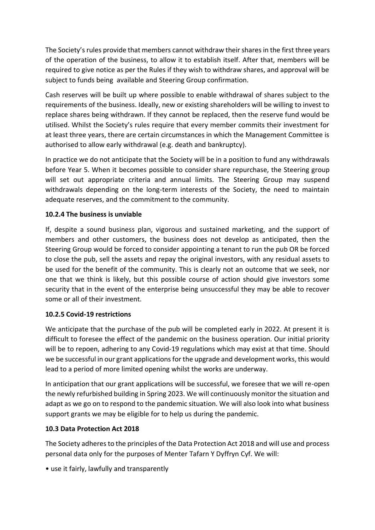The Society's rules provide that members cannot withdraw their shares in the first three years of the operation of the business, to allow it to establish itself. After that, members will be required to give notice as per the Rules if they wish to withdraw shares, and approval will be subject to funds being available and Steering Group confirmation.

Cash reserves will be built up where possible to enable withdrawal of shares subject to the requirements of the business. Ideally, new or existing shareholders will be willing to invest to replace shares being withdrawn. If they cannot be replaced, then the reserve fund would be utilised. Whilst the Society's rules require that every member commits their investment for at least three years, there are certain circumstances in which the Management Committee is authorised to allow early withdrawal (e.g. death and bankruptcy).

In practice we do not anticipate that the Society will be in a position to fund any withdrawals before Year 5. When it becomes possible to consider share repurchase, the Steering group will set out appropriate criteria and annual limits. The Steering Group may suspend withdrawals depending on the long-term interests of the Society, the need to maintain adequate reserves, and the commitment to the community.

## **10.2.4 The business is unviable**

If, despite a sound business plan, vigorous and sustained marketing, and the support of members and other customers, the business does not develop as anticipated, then the Steering Group would be forced to consider appointing a tenant to run the pub OR be forced to close the pub, sell the assets and repay the original investors, with any residual assets to be used for the benefit of the community. This is clearly not an outcome that we seek, nor one that we think is likely, but this possible course of action should give investors some security that in the event of the enterprise being unsuccessful they may be able to recover some or all of their investment.

## **10.2.5 Covid-19 restrictions**

We anticipate that the purchase of the pub will be completed early in 2022. At present it is difficult to foresee the effect of the pandemic on the business operation. Our initial priority will be to repoen, adhering to any Covid-19 regulations which may exist at that time. Should we be successful in our grant applications for the upgrade and development works, this would lead to a period of more limited opening whilst the works are underway.

In anticipation that our grant applications will be successful, we foresee that we will re-open the newly refurbished building in Spring 2023. We will continuously monitor the situation and adapt as we go on to respond to the pandemic situation. We will also look into what business support grants we may be eligible for to help us during the pandemic.

## **10.3 Data Protection Act 2018**

The Society adheres to the principles of the Data Protection Act 2018 and will use and process personal data only for the purposes of Menter Tafarn Y Dyffryn Cyf. We will:

• use it fairly, lawfully and transparently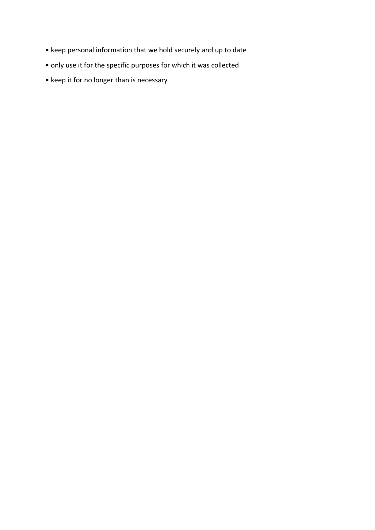- keep personal information that we hold securely and up to date
- only use it for the specific purposes for which it was collected
- keep it for no longer than is necessary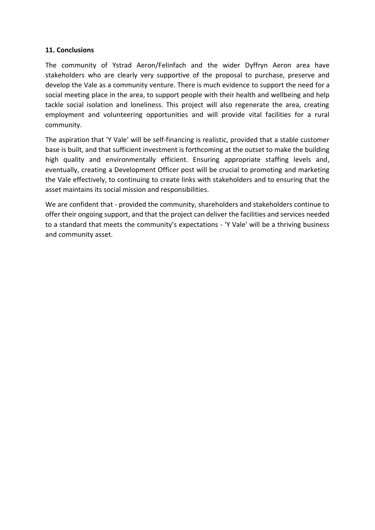## **11. Conclusions**

The community of Ystrad Aeron/Felinfach and the wider Dyffryn Aeron area have stakeholders who are clearly very supportive of the proposal to purchase, preserve and develop the Vale as a community venture. There is much evidence to support the need for a social meeting place in the area, to support people with their health and wellbeing and help tackle social isolation and loneliness. This project will also regenerate the area, creating employment and volunteering opportunities and will provide vital facilities for a rural community.

The aspiration that 'Y Vale' will be self-financing is realistic, provided that a stable customer base is built, and that sufficient investment is forthcoming at the outset to make the building high quality and environmentally efficient. Ensuring appropriate staffing levels and, eventually, creating a Development Officer post will be crucial to promoting and marketing the Vale effectively, to continuing to create links with stakeholders and to ensuring that the asset maintains its social mission and responsibilities.

We are confident that - provided the community, shareholders and stakeholders continue to offer their ongoing support, and that the project can deliver the facilities and services needed to a standard that meets the community's expectations - 'Y Vale' will be a thriving business and community asset.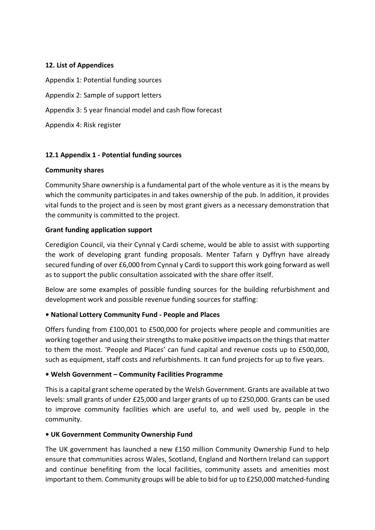## **12. List of Appendices**

Appendix 1: Potential funding sources Appendix 2: Sample of support letters Appendix 3: 5 year financial model and cash flow forecast Appendix 4: Risk register

## **12.1 Appendix 1 - Potential funding sources**

#### **Community shares**

Community Share ownership is a fundamental part of the whole venture as it is the means by which the community participates in and takes ownership of the pub. In addition, it provides vital funds to the project and is seen by most grant givers as a necessary demonstration that the community is committed to the project.

## **Grant funding application support**

Ceredigion Council, via their Cynnal y Cardi scheme, would be able to assist with supporting the work of developing grant funding proposals. Menter Tafarn y Dyffryn have already secured funding of over £6,000 from Cynnal y Cardi to support this work going forward as well as to support the public consultation assoicated with the share offer itself.

Below are some examples of possible funding sources for the building refurbishment and development work and possible revenue funding sources for staffing:

## **• National Lottery Community Fund - People and Places**

Offers funding from £100,001 to £500,000 for projects where people and communities are working together and using their strengths to make positive impacts on the things that matter to them the most. 'People and Places' can fund capital and revenue costs up to £500,000, such as equipment, staff costs and refurbishments. It can fund projects for up to five years.

## **• Welsh Government – Community Facilities Programme**

This is a capital grant scheme operated by the Welsh Government. Grants are available at two levels: small grants of under £25,000 and larger grants of up to £250,000. Grants can be used to improve community facilities which are useful to, and well used by, people in the community.

#### **• UK Government Community Ownership Fund**

The UK government has launched a new £150 million Community Ownership Fund to help ensure that communities across Wales, Scotland, England and Northern Ireland can support and continue benefiting from the local facilities, community assets and amenities most important to them. Community groups will be able to bid for up to £250,000 matched-funding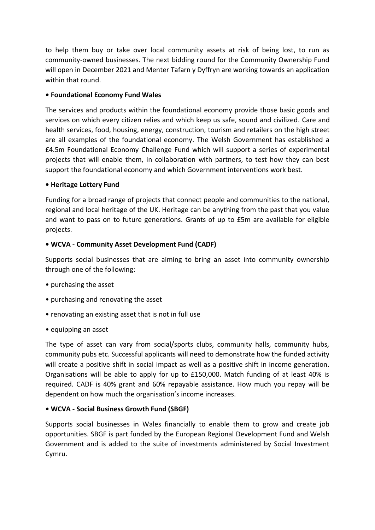to help them buy or take over local community assets at risk of being lost, to run as community-owned businesses. The next bidding round for the Community Ownership Fund will open in December 2021 and Menter Tafarn y Dyffryn are working towards an application within that round.

## **• Foundational Economy Fund Wales**

The services and products within the foundational economy provide those basic goods and services on which every citizen relies and which keep us safe, sound and civilized. Care and health services, food, housing, energy, construction, tourism and retailers on the high street are all examples of the foundational economy. The Welsh Government has established a £4.5m Foundational Economy Challenge Fund which will support a series of experimental projects that will enable them, in collaboration with partners, to test how they can best support the foundational economy and which Government interventions work best.

#### **• Heritage Lottery Fund**

Funding for a broad range of projects that connect people and communities to the national, regional and local heritage of the UK. Heritage can be anything from the past that you value and want to pass on to future generations. Grants of up to £5m are available for eligible projects.

#### **• WCVA - Community Asset Development Fund (CADF)**

Supports social businesses that are aiming to bring an asset into community ownership through one of the following:

- purchasing the asset
- purchasing and renovating the asset
- renovating an existing asset that is not in full use
- equipping an asset

The type of asset can vary from social/sports clubs, community halls, community hubs, community pubs etc. Successful applicants will need to demonstrate how the funded activity will create a positive shift in social impact as well as a positive shift in income generation. Organisations will be able to apply for up to £150,000. Match funding of at least 40% is required. CADF is 40% grant and 60% repayable assistance. How much you repay will be dependent on how much the organisation's income increases.

## **• WCVA - Social Business Growth Fund (SBGF)**

Supports social businesses in Wales financially to enable them to grow and create job opportunities. SBGF is part funded by the European Regional Development Fund and Welsh Government and is added to the suite of investments administered by Social Investment Cymru.